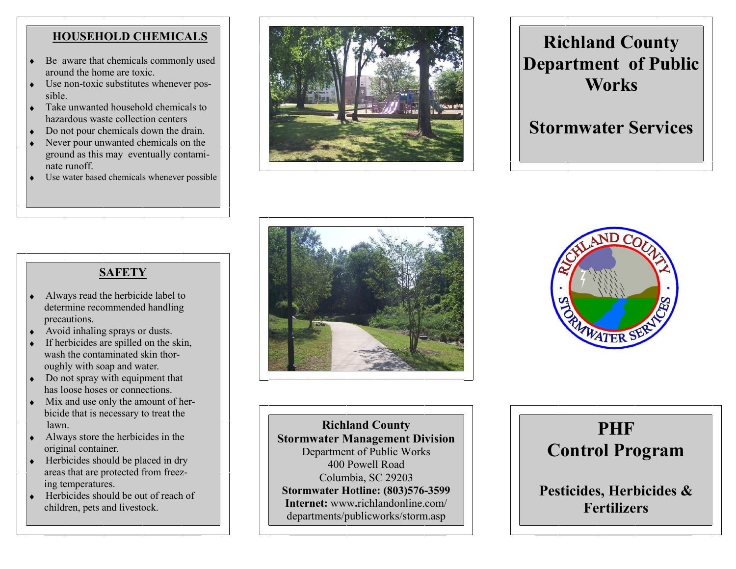## **HOUSEHOLD CHEMICALS**

- Be aware that chemicals commonly used around the home are toxic.
- Use non-toxic substitutes whenever possible.
- Take unwanted household chemicals to hazardous waste collection centers
- Do not pour chemicals down the drain.  $\bullet$
- Never pour unwanted chemicals on the  $\bullet$ ground as this may eventually contaminate runoff.
- Use water based chemicals whenever possible



# **Richland County Department of Public Works**

# **Stormwater Services**



- Always read the herbicide label to determine recommended handling precautions.
- Avoid inhaling sprays or dusts.
- If herbicides are spilled on the skin, wash the contaminated skin thor oughly with soap and water.
- Do not spray with equipment that has loose hoses or connections.
- Mix and use only the amount of her bicide that is necessary to treat the lawn.
- Always store the herbicides in the  $\bullet$ original container.
- Herbicides should be placed in dry  $\bullet$  areas that are protected from freez ing temperatures.
- Herbicides should be out of reach of children, pets and livestock.





**Richland County Stormwater Management Division** Department of Public Works 400 Powell Road Columbia, SC 29203 **Stormwater Hotline: (803)576-3599 Internet:** www**.**richlandonline.com/ departments/publicworks/storm.asp